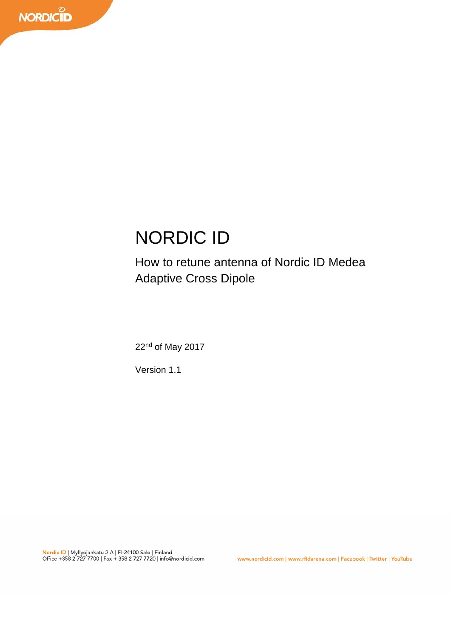# NORDIC ID

# How to retune antenna of Nordic ID Medea Adaptive Cross Dipole

22<sup>nd</sup> of May 2017

Version 1.1

www.nordicid.com | www.rfidarena.com | Facebook | Twitter | YouTube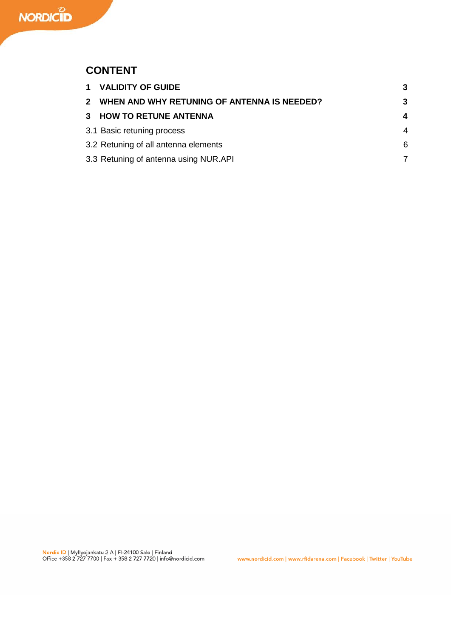## **CONTENT**

|                | 1 VALIDITY OF GUIDE                         | 3 |
|----------------|---------------------------------------------|---|
| $\overline{2}$ | WHEN AND WHY RETUNING OF ANTENNA IS NEEDED? | 3 |
| 3              | <b>HOW TO RETUNE ANTENNA</b>                | 4 |
|                | 3.1 Basic retuning process                  | 4 |
|                | 3.2 Retuning of all antenna elements        | 6 |
|                | 3.3 Retuning of antenna using NUR.API       |   |
|                |                                             |   |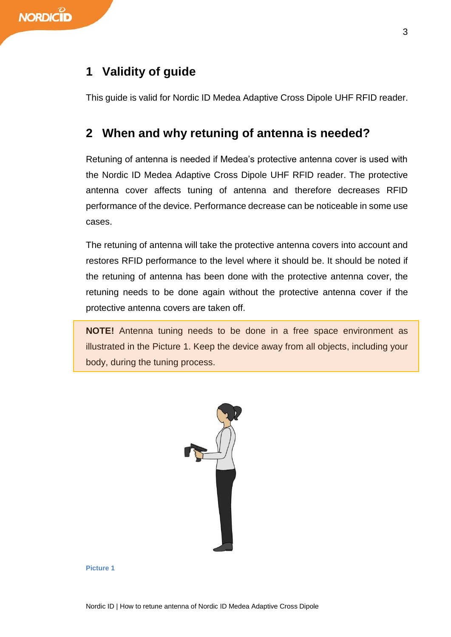## **1 Validity of guide**

This guide is valid for Nordic ID Medea Adaptive Cross Dipole UHF RFID reader.

## **2 When and why retuning of antenna is needed?**

Retuning of antenna is needed if Medea's protective antenna cover is used with the Nordic ID Medea Adaptive Cross Dipole UHF RFID reader. The protective antenna cover affects tuning of antenna and therefore decreases RFID performance of the device. Performance decrease can be noticeable in some use cases.

The retuning of antenna will take the protective antenna covers into account and restores RFID performance to the level where it should be. It should be noted if the retuning of antenna has been done with the protective antenna cover, the retuning needs to be done again without the protective antenna cover if the protective antenna covers are taken off.

**NOTE!** Antenna tuning needs to be done in a free space environment as illustrated in the [Picture 1.](#page-2-0) Keep the device away from all objects, including your body, during the tuning process.



<span id="page-2-0"></span>**Picture 1**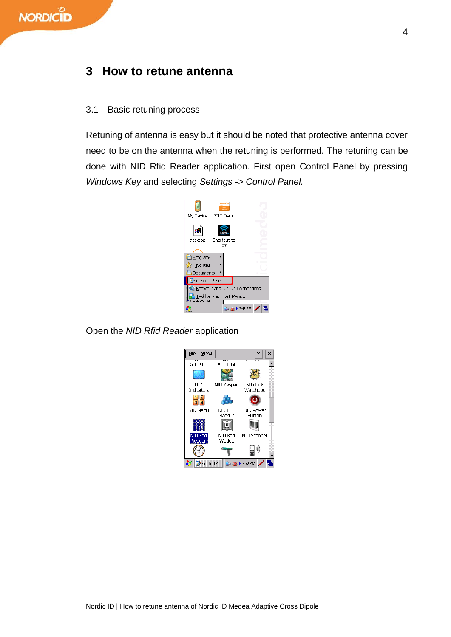### **3 How to retune antenna**

#### <span id="page-3-0"></span>3.1 Basic retuning process

Retuning of antenna is easy but it should be noted that protective antenna cover need to be on the antenna when the retuning is performed. The retuning can be done with NID Rfid Reader application. First open Control Panel by pressing *Windows Key* and selecting *Settings -> Control Panel.*



Open the *NID Rfid Reader* application

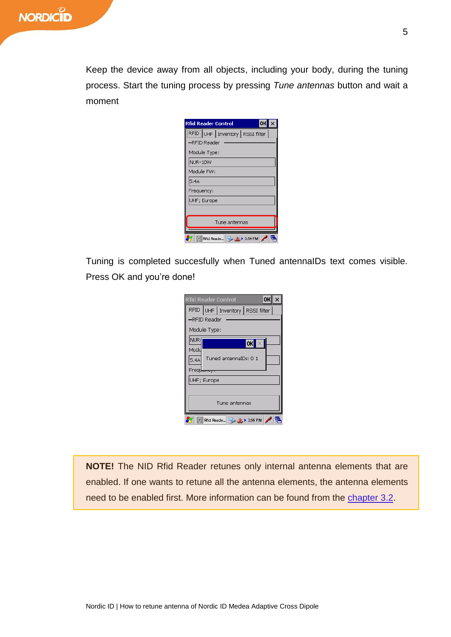Keep the device away from all objects, including your body, during the tuning process. Start the tuning process by pressing *Tune antennas* button and wait a moment

| OK<br><b>Rfid Reader Control</b> |  |  |  |  |  |  |
|----------------------------------|--|--|--|--|--|--|
| RFID UHF Inventory RSSI filter   |  |  |  |  |  |  |
| -RFID Reader                     |  |  |  |  |  |  |
| Module Type:                     |  |  |  |  |  |  |
| NUR-10W                          |  |  |  |  |  |  |
| Module FW:                       |  |  |  |  |  |  |
| 5.4A                             |  |  |  |  |  |  |
| Frequency:                       |  |  |  |  |  |  |
| UHF; Europe                      |  |  |  |  |  |  |
|                                  |  |  |  |  |  |  |
| Tune antennas                    |  |  |  |  |  |  |
| Rfid Reade<br>▶ 3:54 PM          |  |  |  |  |  |  |

Tuning is completed succesfully when Tuned antennaIDs text comes visible. Press OK and you're done!

|                    |                       | <b>Rfid Reader Control</b>         |  | OK |  |  |  |  |
|--------------------|-----------------------|------------------------------------|--|----|--|--|--|--|
|                    |                       | RFID UHF   Inventory   RSSI filter |  |    |  |  |  |  |
| -RFID Reader       |                       |                                    |  |    |  |  |  |  |
| Module Type:       |                       |                                    |  |    |  |  |  |  |
| <b>NUR</b>         | OK                    |                                    |  |    |  |  |  |  |
| Modu               |                       |                                    |  |    |  |  |  |  |
| 5.4A               | Tuned antennaIDs: 0 1 |                                    |  |    |  |  |  |  |
| Frequer            |                       |                                    |  |    |  |  |  |  |
| UHF; Europe        |                       |                                    |  |    |  |  |  |  |
|                    |                       |                                    |  |    |  |  |  |  |
| Tune antennas      |                       |                                    |  |    |  |  |  |  |
| Rfid Reade 3:56 PM |                       |                                    |  |    |  |  |  |  |

**NOTE!** The NID Rfid Reader retunes only internal antenna elements that are enabled. If one wants to retune all the antenna elements, the antenna elements need to be enabled first. More information can be found from the [chapter](#page-5-0) 3.2.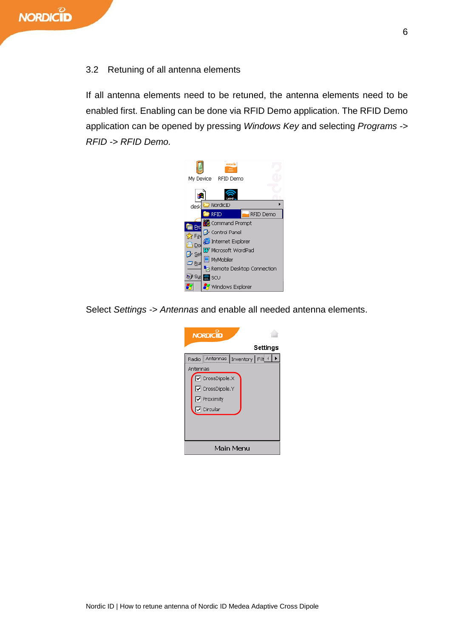#### <span id="page-5-0"></span>3.2 Retuning of all antenna elements

If all antenna elements need to be retuned, the antenna elements need to be enabled first. Enabling can be done via RFID Demo application. The RFID Demo application can be opened by pressing *Windows Key* and selecting *Programs -> RFID -> RFID Demo.*



Select *Settings -> Antennas* and enable all needed antenna elements.